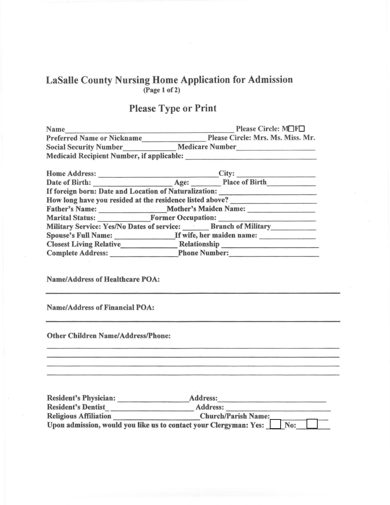## LaSalle County Nursing Home Application for Admission  $(Page 1 of 2)$

## Please Type or Print

| Name                                             | Please Circle: $M \Box F \Box$    |
|--------------------------------------------------|-----------------------------------|
| <b>Preferred Name or Nickname</b>                | Please Circle: Mrs. Ms. Miss. Mr. |
| <b>Social Security Number</b>                    | <b>Medicare Number</b>            |
| <b>Medicaid Recipient Number, if applicable:</b> |                                   |

| Home Address: No. 1996          |  | City:                                                                             |
|---------------------------------|--|-----------------------------------------------------------------------------------|
|                                 |  |                                                                                   |
|                                 |  | If foreign born: Date and Location of Naturalization: __________________________  |
|                                 |  | How long have you resided at the residence listed above?                          |
|                                 |  |                                                                                   |
|                                 |  |                                                                                   |
|                                 |  | Military Service: Yes/No Dates of service: Branch of Military                     |
|                                 |  | Spouse's Full Name: If wife, her maiden name:                                     |
|                                 |  | <b>Closest Living Relative Relationship Relationship Closest Living Relations</b> |
| Complete Address: Phone Number: |  |                                                                                   |

Name/Address of Healthcare POA:

Name/Address of Financial POA:

Other Children Name/Address/Phone:

| <b>Resident's Physician:</b> | Address:                                                          |     |  |
|------------------------------|-------------------------------------------------------------------|-----|--|
| <b>Resident's Dentist</b>    | Address:                                                          |     |  |
| <b>Religious Affiliation</b> | <b>Church/Parish Name:</b>                                        |     |  |
|                              | Upon admission, would you like us to contact your Clergyman: Yes: | No: |  |